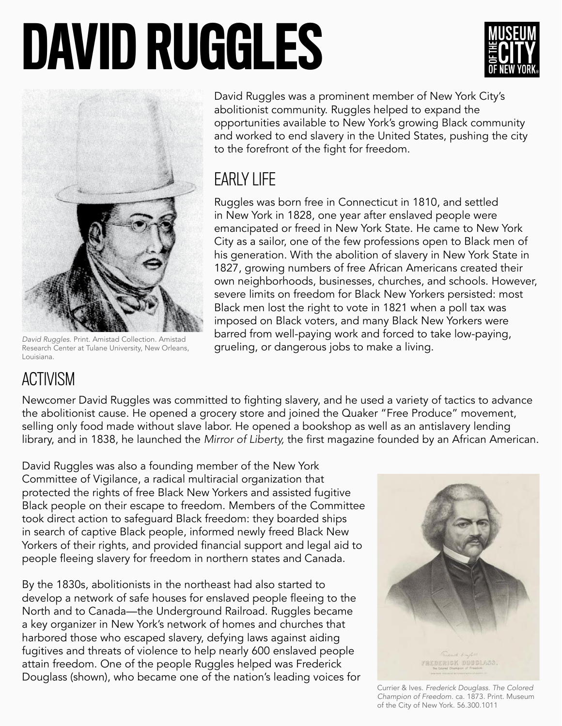# DAVID RUGGLES





*David Ruggles.* Print. Amistad Collection. Amistad Research Center at Tulane University, New Orleans, Louisiana.

David Ruggles was a prominent member of New York City's abolitionist community. Ruggles helped to expand the opportunities available to New York's growing Black community and worked to end slavery in the United States, pushing the city to the forefront of the fight for freedom.

### EARLY LIFE

Ruggles was born free in Connecticut in 1810, and settled in New York in 1828, one year after enslaved people were emancipated or freed in New York State. He came to New York City as a sailor, one of the few professions open to Black men of his generation. With the abolition of slavery in New York State in 1827, growing numbers of free African Americans created their own neighborhoods, businesses, churches, and schools. However, severe limits on freedom for Black New Yorkers persisted: most Black men lost the right to vote in 1821 when a poll tax was imposed on Black voters, and many Black New Yorkers were barred from well-paying work and forced to take low-paying, grueling, or dangerous jobs to make a living.

## ACTIVISM

Newcomer David Ruggles was committed to fighting slavery, and he used a variety of tactics to advance the abolitionist cause. He opened a grocery store and joined the Quaker "Free Produce" movement, selling only food made without slave labor. He opened a bookshop as well as an antislavery lending library, and in 1838, he launched the *Mirror of Liberty,* the first magazine founded by an African American.

David Ruggles was also a founding member of the New York Committee of Vigilance, a radical multiracial organization that protected the rights of free Black New Yorkers and assisted fugitive Black people on their escape to freedom. Members of the Committee took direct action to safeguard Black freedom: they boarded ships in search of captive Black people, informed newly freed Black New Yorkers of their rights, and provided financial support and legal aid to people fleeing slavery for freedom in northern states and Canada.

By the 1830s, abolitionists in the northeast had also started to develop a network of safe houses for enslaved people fleeing to the North and to Canada—the Underground Railroad. Ruggles became a key organizer in New York's network of homes and churches that harbored those who escaped slavery, defying laws against aiding fugitives and threats of violence to help nearly 600 enslaved people attain freedom. One of the people Ruggles helped was Frederick Douglass (shown), who became one of the nation's leading voices for



Currier & Ives. *Frederick Douglass. The Colored Champion of Freedom.* ca. 1873. Print. Museum of the City of New York. 56.300.1011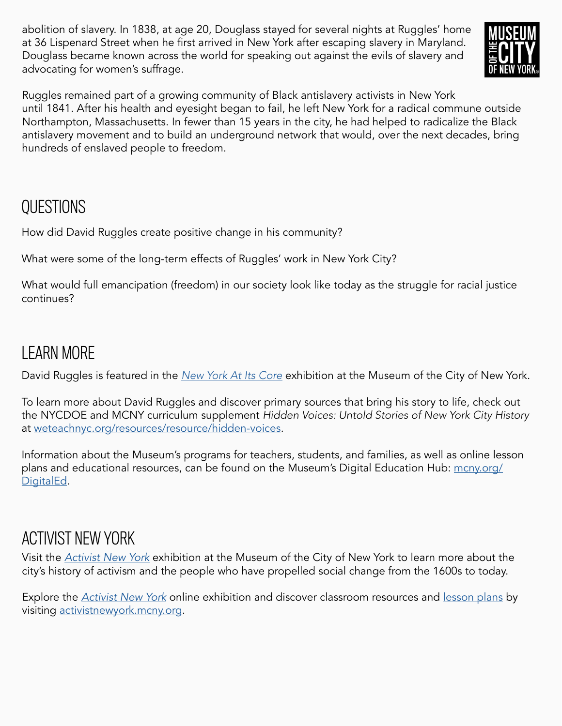abolition of slavery. In 1838, at age 20, Douglass stayed for several nights at Ruggles' home at 36 Lispenard Street when he first arrived in New York after escaping slavery in Maryland. Douglass became known across the world for speaking out against the evils of slavery and advocating for women's suffrage.



Ruggles remained part of a growing community of Black antislavery activists in New York until 1841. After his health and eyesight began to fail, he left New York for a radical commune outside Northampton, Massachusetts. In fewer than 15 years in the city, he had helped to radicalize the Black antislavery movement and to build an underground network that would, over the next decades, bring hundreds of enslaved people to freedom.

#### **OUESTIONS**

How did David Ruggles create positive change in his community?

What were some of the long-term effects of Ruggles' work in New York City?

What would full emancipation (freedom) in our society look like today as the struggle for racial justice continues?

#### LEARN MORE

David Ruggles is featured in the *[New York At Its Core](https://www.mcny.org/nyatitscore)* exhibition at the Museum of the City of New York.

To learn more about David Ruggles and discover primary sources that bring his story to life, check out the NYCDOE and MCNY curriculum supplement *Hidden Voices: Untold Stories of New York City History* at [weteachnyc.org/resources/resource/hidden-voices.](http://weteachnyc.org/resources/resource/hidden-voices)

Information about the Museum's programs for teachers, students, and families, as well as online lesson plans and educational resources, can be found on the Museum's Digital Education Hub: [mcny.org/](http://mcny.org/DigitalEd) [DigitalEd](http://mcny.org/DigitalEd).

#### ACTIVIST NEW YORK

Visit the *[Activist New York](https://www.mcny.org/exhibition/activist-new-york)* exhibition at the Museum of the City of New York to learn more about the city's history of activism and the people who have propelled social change from the 1600s to today.

Explore the *[Activist New York](https://activistnewyork.mcny.org/)* online exhibition and discover classroom resources and [lesson plans](https://activistnewyork.mcny.org/see-all-lesson-plans) by visiting [activistnewyork.mcny.org](http://activistnewyork.mcny.org).